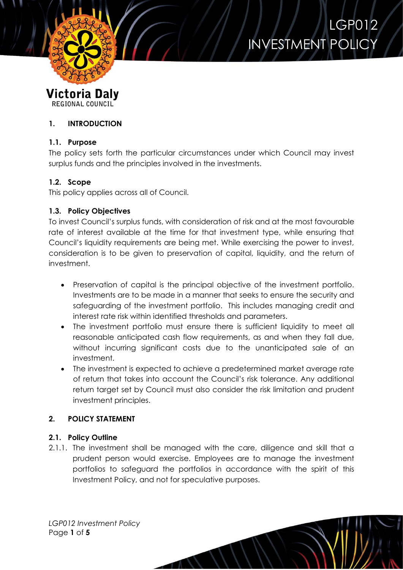

# LGP012 INVESTMENT POLICY

**Victoria Daly REGIONAL COUNCIL** 

# **1. INTRODUCTION**

# **1.1. Purpose**

The policy sets forth the particular circumstances under which Council may invest surplus funds and the principles involved in the investments.

# **1.2. Scope**

This policy applies across all of Council.

# **1.3. Policy Objectives**

To invest Council's surplus funds, with consideration of risk and at the most favourable rate of interest available at the time for that investment type, while ensuring that Council's liquidity requirements are being met. While exercising the power to invest, consideration is to be given to preservation of capital, liquidity, and the return of investment.

- Preservation of capital is the principal objective of the investment portfolio. Investments are to be made in a manner that seeks to ensure the security and safeguarding of the investment portfolio. This includes managing credit and interest rate risk within identified thresholds and parameters.
- The investment portfolio must ensure there is sufficient liquidity to meet all reasonable anticipated cash flow requirements, as and when they fall due, without incurring significant costs due to the unanticipated sale of an investment.
- The investment is expected to achieve a predetermined market average rate of return that takes into account the Council's risk tolerance. Any additional return target set by Council must also consider the risk limitation and prudent investment principles.

# **2. POLICY STATEMENT**

# **2.1. Policy Outline**

2.1.1. The investment shall be managed with the care, diligence and skill that a prudent person would exercise. Employees are to manage the investment portfolios to safeguard the portfolios in accordance with the spirit of this Investment Policy, and not for speculative purposes.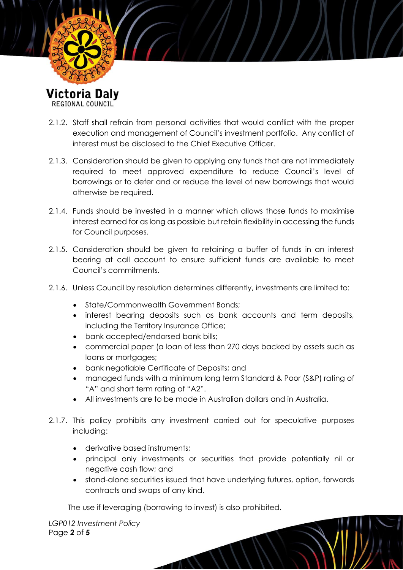

REGIONAL COUNCIL

- 2.1.2. Staff shall refrain from personal activities that would conflict with the proper execution and management of Council's investment portfolio. Any conflict of interest must be disclosed to the Chief Executive Officer.
- 2.1.3. Consideration should be given to applying any funds that are not immediately required to meet approved expenditure to reduce Council's level of borrowings or to defer and or reduce the level of new borrowings that would otherwise be required.
- 2.1.4. Funds should be invested in a manner which allows those funds to maximise interest earned for as long as possible but retain flexibility in accessing the funds for Council purposes.
- 2.1.5. Consideration should be given to retaining a buffer of funds in an interest bearing at call account to ensure sufficient funds are available to meet Council's commitments.
- 2.1.6. Unless Council by resolution determines differently, investments are limited to:
	- State/Commonwealth Government Bonds:
	- interest bearing deposits such as bank accounts and term deposits, including the Territory Insurance Office;
	- bank accepted/endorsed bank bills;
	- commercial paper (a loan of less than 270 days backed by assets such as loans or mortgages;
	- bank negotiable Certificate of Deposits; and
	- managed funds with a minimum long term Standard & Poor (S&P) rating of "A" and short term rating of "A2".
	- All investments are to be made in Australian dollars and in Australia.
- 2.1.7. This policy prohibits any investment carried out for speculative purposes including:
	- derivative based instruments:
	- principal only investments or securities that provide potentially nil or negative cash flow; and
	- stand-alone securities issued that have underlying futures, option, forwards contracts and swaps of any kind,

The use if leveraging (borrowing to invest) is also prohibited.

*LGP012 Investment Policy* Page **2** of **5**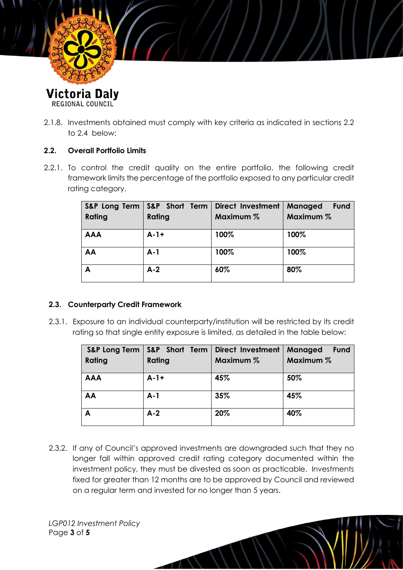

REGIONAL COUNCIL

2.1.8. Investments obtained must comply with key criteria as indicated in sections 2.2 to 2.4 below:

#### **2.2. Overall Portfolio Limits**

2.2.1. To control the credit quality on the entire portfolio, the following credit framework limits the percentage of the portfolio exposed to any particular credit rating category.

| Rating     | S&P Long Term   S&P Short Term<br>Rating | <b>Direct Investment</b><br>Maximum % | <b>Managed</b><br>Fund<br>Maximum % |
|------------|------------------------------------------|---------------------------------------|-------------------------------------|
| <b>AAA</b> | $A-1+$                                   | 100%                                  | 100%                                |
| AA         | $A-1$                                    | 100%                                  | 100%                                |
| А          | $A-2$                                    | 60%                                   | 80%                                 |

# **2.3. Counterparty Credit Framework**

2.3.1. Exposure to an individual counterparty/institution will be restricted by its credit rating so that single entity exposure is limited, as detailed in the table below:

|            | S&P Long Term   S&P Short Term | Direct Investment | <b>Managed</b><br>Fund |
|------------|--------------------------------|-------------------|------------------------|
| Rating     | Rating                         | Maximum %         | Maximum %              |
| <b>AAA</b> | $A - 1 +$                      | 45%               | 50%                    |
| AA         | $A-1$                          | 35%               | 45%                    |
| Α          | $A-2$                          | 20%               | 40%                    |

2.3.2. If any of Council's approved investments are downgraded such that they no longer fall within approved credit rating category documented within the investment policy, they must be divested as soon as practicable. Investments fixed for greater than 12 months are to be approved by Council and reviewed on a regular term and invested for no longer than 5 years.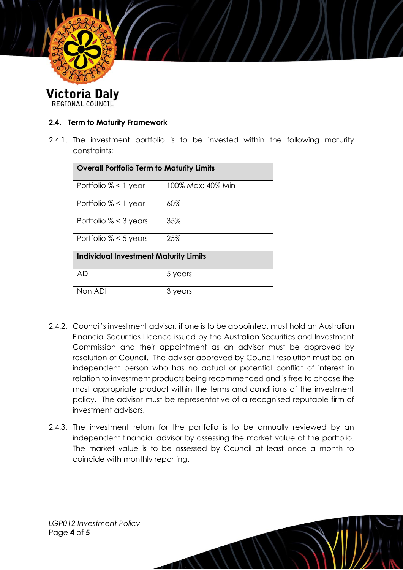

**Victoria Daly** REGIONAL COUNCIL

### **2.4. Term to Maturity Framework**

2.4.1. The investment portfolio is to be invested within the following maturity constraints:

| Overall Portfolio Term to Maturity Limits    |                   |  |  |  |
|----------------------------------------------|-------------------|--|--|--|
| Portfolio $% < 1$ year                       | 100% Max; 40% Min |  |  |  |
| Portfolio $% < 1$ year                       | 60%               |  |  |  |
| Portfolio $% < 3$ years                      | 35%               |  |  |  |
| Portfolio $% < 5$ years                      | 25%               |  |  |  |
| <b>Individual Investment Maturity Limits</b> |                   |  |  |  |
| ADI                                          | 5 years           |  |  |  |
| Non ADI                                      | 3 years           |  |  |  |

- 2.4.2. Council's investment advisor, if one is to be appointed, must hold an Australian Financial Securities Licence issued by the Australian Securities and Investment Commission and their appointment as an advisor must be approved by resolution of Council. The advisor approved by Council resolution must be an independent person who has no actual or potential conflict of interest in relation to investment products being recommended and is free to choose the most appropriate product within the terms and conditions of the investment policy. The advisor must be representative of a recognised reputable firm of investment advisors.
- 2.4.3. The investment return for the portfolio is to be annually reviewed by an independent financial advisor by assessing the market value of the portfolio. The market value is to be assessed by Council at least once a month to coincide with monthly reporting.